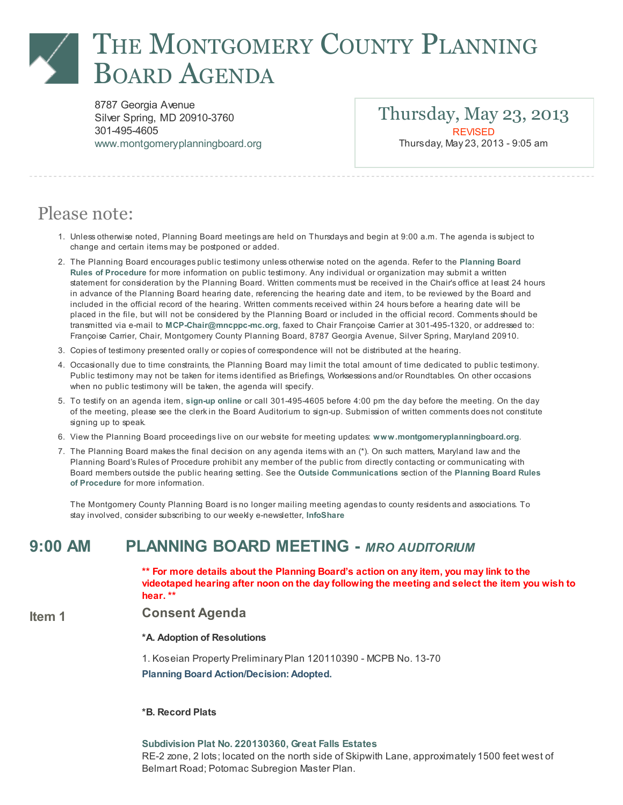# THE MONTGOMERY COUNTY PLANNING BOARD AGENDA

8787 Georgia Avenue Silver Spring, MD 20910-3760 301-495-4605 [www.montgomeryplanningboard.org](http://www.montgomeryplanningboard.org/)

Thursday, May 23, 2013 **REVISED** Thursday, May 23, 2013 - 9:05 am

# Please note:

- 1. Unlessotherwise noted, Planning Board meetingsare held on Thursdaysand begin at 9:00 a.m. The agenda is subject to change and certain items may be postponed or added.
- 2. The Planning Board [encouragespublic](http://www.montgomeryplanningboard.org/agenda/2007/documents/RulesFINAL3.21.07.pdf) testimony unlessotherwise noted on the agenda. Refer to the Planning Board Rules of Procedure for more information on public testimony. Any individual or organization may submit a written statement for consideration by the Planning Board. Written comments must be received in the Chair'soffice at least 24 hours in advance of the Planning Board hearing date, referencing the hearing date and item, to be reviewed by the Board and included in the official record of the hearing. Written comments received within 24 hoursbefore a hearing date will be placed in the file, but will not be considered by the Planning Board or included in the official record. Comments should be transmitted via e-mail to [MCP-Chair@mncppc-mc.org](mailto:MCP-Chair@mncppc-mc.org), faxed to Chair Françoise Carrier at 301-495-1320, or addressed to: Françoise Carrier, Chair, Montgomery County Planning Board, 8787 Georgia Avenue, Silver Spring, Maryland 20910.
- 3. Copiesof testimony presented orally or copiesof correspondence will not be distributed at the hearing.
- 4. Occasionally due to time constraints, the Planning Board may limit the total amount of time dedicated to public testimony. Public testimony may not be taken for items identified as Briefings, Worksessions and/or Roundtables. On other occasions when no public testimony will be taken, the agenda will specify.
- 5. To testify on an agenda item, [sign-up](http://www.montgomeryapps.org/planning_board/testify.asp) online or call 301-495-4605 before 4:00 pm the day before the meeting. On the day of the meeting, please see the clerk in the Board Auditorium to sign-up. Submission of written comments does not constitute signing up to speak.
- 6. View the Planning Board proceedings live on our website for meeting updates: [www.montgomeryplanningboard.org](http://www.montgomeryplanningboard.org/).
- 7. The Planning Board makes the final decision on any agenda items with an (\*). On such matters, Maryland law and the Planning Board's Rulesof Procedure prohibit any member of the public from directly contacting or communicating with Board membersoutside the public hearing setting. See the Outside [Communications](http://www.montgomeryplanningboard.org/agenda/2007/documents/RulesFINAL3.21.07.pdf) section of the Planning Board Rules of Procedure for more information.

The Montgomery County Planning Board isno longer mailing meeting agendas to county residentsand associations. To stay involved, consider subscribing to our weekly e-newsletter, [InfoShare](http://www.montgomeryplanningboard.org/outreach_center/infoshare/signup.shtm)

### 9:00 AM PLANNING BOARD MEETING - MRO AUDITORIUM

\*\* For more details about the Planning Board's action on any item, you may link to the videotaped hearing after noon on the day following the meeting and select the item you wish to hear. \*\*

#### Item 1 Consent Agenda

#### \*A. Adoption of Resolutions

1. Koseian Property Preliminary Plan 120110390 - MCPB No. 13-70

Planning Board Action/Decision: Adopted.

#### \*B. Record Plats

Subdivision Plat No. [220130360,](http://www.montgomeryplanningboard.org/agenda/2013/documents/20130523RecordPlatsGreatFallsEstates_000.pdf) Great Falls Estates RE-2 zone, 2 lots; located on the north side of Skipwith Lane, approximately 1500 feet west of Belmart Road; Potomac Subregion Master Plan.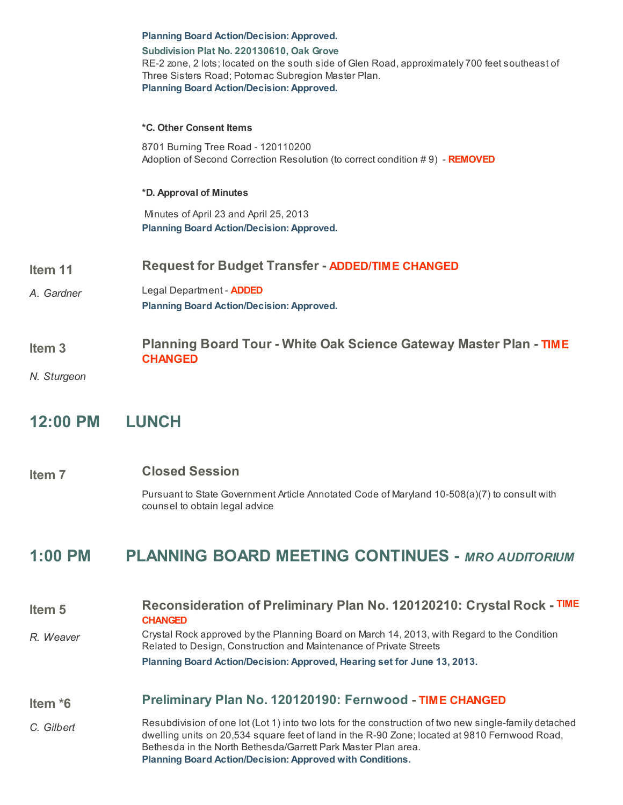|                                  | <b>Planning Board Action/Decision: Approved.</b><br>Subdivision Plat No. 220130610, Oak Grove<br>RE-2 zone, 2 lots; located on the south side of Glen Road, approximately 700 feet southeast of<br>Three Sisters Road; Potomac Subregion Master Plan.<br><b>Planning Board Action/Decision: Approved.</b>                                 |
|----------------------------------|-------------------------------------------------------------------------------------------------------------------------------------------------------------------------------------------------------------------------------------------------------------------------------------------------------------------------------------------|
|                                  | *C. Other Consent Items<br>8701 Burning Tree Road - 120110200<br>Adoption of Second Correction Resolution (to correct condition #9) - REMOVED                                                                                                                                                                                             |
|                                  | *D. Approval of Minutes<br>Minutes of April 23 and April 25, 2013<br><b>Planning Board Action/Decision: Approved.</b>                                                                                                                                                                                                                     |
| Item 11<br>A. Gardner            | <b>Request for Budget Transfer - ADDED/TIME CHANGED</b><br>Legal Department - <b>ADDED</b><br><b>Planning Board Action/Decision: Approved.</b>                                                                                                                                                                                            |
| Item <sub>3</sub><br>N. Sturgeon | <b>Planning Board Tour - White Oak Science Gateway Master Plan - TIME</b><br><b>CHANGED</b>                                                                                                                                                                                                                                               |
| 12:00 PM                         | <b>LUNCH</b>                                                                                                                                                                                                                                                                                                                              |
| Item <sub>7</sub>                | <b>Closed Session</b><br>Pursuant to State Government Article Annotated Code of Maryland 10-508(a)(7) to consult with<br>counsel to obtain legal advice                                                                                                                                                                                   |
| 1:00 PM                          | <b>PLANNING BOARD MEETING CONTINUES - MRO AUDITORIUM</b>                                                                                                                                                                                                                                                                                  |
| Item <sub>5</sub><br>R. Weaver   | Reconsideration of Preliminary Plan No. 120120210: Crystal Rock - TIME<br><b>CHANGED</b><br>Crystal Rock approved by the Planning Board on March 14, 2013, with Regard to the Condition<br>Related to Design, Construction and Maintenance of Private Streets<br>Planning Board Action/Decision: Approved, Hearing set for June 13, 2013. |

# Item \*6 Preliminary Plan No. [120120190:](http://www.montgomeryplanningboard.org/agenda/2013/documents/20130523Fernwood_120120190StaffReport.pdf) Fernwood - TIME CHANGED

C. Gilbert Resubdivision of one lot (Lot 1) into two lots for the construction of two new single-family detached dwelling units on 20,534 square feet of land in the R-90 Zone; located at 9810 Fernwood Road, Bethesda in the North Bethesda/Garrett Park Master Plan area. Planning Board Action/Decision: Approved with Conditions.